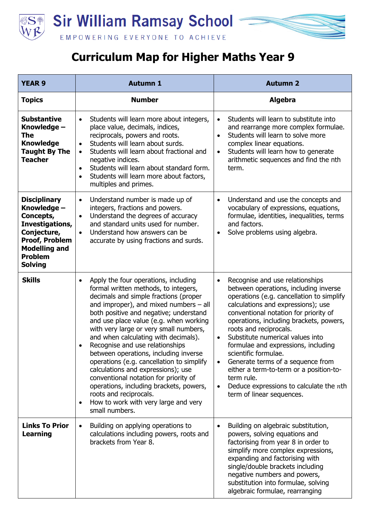



| <b>YEAR 9</b>                                                                                                                                                          | <b>Autumn 1</b>                                                                                                                                                                                                                                                                                                                                                                                                                                                                                                                                                                                                                                                                                          | <b>Autumn 2</b>                                                                                                                                                                                                                                                                                                                                                                                                                                                                                                                                                    |
|------------------------------------------------------------------------------------------------------------------------------------------------------------------------|----------------------------------------------------------------------------------------------------------------------------------------------------------------------------------------------------------------------------------------------------------------------------------------------------------------------------------------------------------------------------------------------------------------------------------------------------------------------------------------------------------------------------------------------------------------------------------------------------------------------------------------------------------------------------------------------------------|--------------------------------------------------------------------------------------------------------------------------------------------------------------------------------------------------------------------------------------------------------------------------------------------------------------------------------------------------------------------------------------------------------------------------------------------------------------------------------------------------------------------------------------------------------------------|
| <b>Topics</b>                                                                                                                                                          | <b>Number</b>                                                                                                                                                                                                                                                                                                                                                                                                                                                                                                                                                                                                                                                                                            | <b>Algebra</b>                                                                                                                                                                                                                                                                                                                                                                                                                                                                                                                                                     |
| <b>Substantive</b><br>Knowledge -<br><b>The</b><br><b>Knowledge</b><br><b>Taught By The</b><br><b>Teacher</b>                                                          | Students will learn more about integers,<br>$\bullet$<br>place value, decimals, indices,<br>reciprocals, powers and roots.<br>Students will learn about surds.<br>$\bullet$<br>Students will learn about fractional and<br>$\bullet$<br>negative indices.<br>Students will learn about standard form.<br>$\bullet$<br>Students will learn more about factors,<br>$\bullet$<br>multiples and primes.                                                                                                                                                                                                                                                                                                      | Students will learn to substitute into<br>and rearrange more complex formulae.<br>Students will learn to solve more<br>$\bullet$<br>complex linear equations.<br>Students will learn how to generate<br>arithmetic sequences and find the nth<br>term.                                                                                                                                                                                                                                                                                                             |
| <b>Disciplinary</b><br>Knowledge -<br>Concepts,<br>Investigations,<br>Conjecture,<br><b>Proof, Problem</b><br><b>Modelling and</b><br><b>Problem</b><br><b>Solving</b> | Understand number is made up of<br>$\bullet$<br>integers, fractions and powers.<br>Understand the degrees of accuracy<br>$\bullet$<br>and standard units used for number.<br>Understand how answers can be<br>$\bullet$<br>accurate by using fractions and surds.                                                                                                                                                                                                                                                                                                                                                                                                                                        | Understand and use the concepts and<br>$\bullet$<br>vocabulary of expressions, equations,<br>formulae, identities, inequalities, terms<br>and factors.<br>Solve problems using algebra.<br>$\bullet$                                                                                                                                                                                                                                                                                                                                                               |
| <b>Skills</b>                                                                                                                                                          | Apply the four operations, including<br>$\bullet$<br>formal written methods, to integers,<br>decimals and simple fractions (proper<br>and improper), and mixed numbers $-$ all<br>both positive and negative; understand<br>and use place value (e.g. when working<br>with very large or very small numbers,<br>and when calculating with decimals).<br>Recognise and use relationships<br>between operations, including inverse<br>operations (e.g. cancellation to simplify<br>calculations and expressions); use<br>conventional notation for priority of<br>operations, including brackets, powers,<br>roots and reciprocals.<br>How to work with very large and very<br>$\bullet$<br>small numbers. | Recognise and use relationships<br>$\bullet$<br>between operations, including inverse<br>operations (e.g. cancellation to simplify<br>calculations and expressions); use<br>conventional notation for priority of<br>operations, including brackets, powers,<br>roots and reciprocals.<br>Substitute numerical values into<br>formulae and expressions, including<br>scientific formulae.<br>Generate terms of a sequence from<br>either a term-to-term or a position-to-<br>term rule.<br>Deduce expressions to calculate the $n$ th<br>term of linear sequences. |
| <b>Links To Prior</b><br><b>Learning</b>                                                                                                                               | Building on applying operations to<br>$\bullet$<br>calculations including powers, roots and<br>brackets from Year 8.                                                                                                                                                                                                                                                                                                                                                                                                                                                                                                                                                                                     | Building on algebraic substitution,<br>powers, solving equations and<br>factorising from year 8 in order to<br>simplify more complex expressions,<br>expanding and factorising with<br>single/double brackets including<br>negative numbers and powers,<br>substitution into formulae, solving<br>algebraic formulae, rearranging                                                                                                                                                                                                                                  |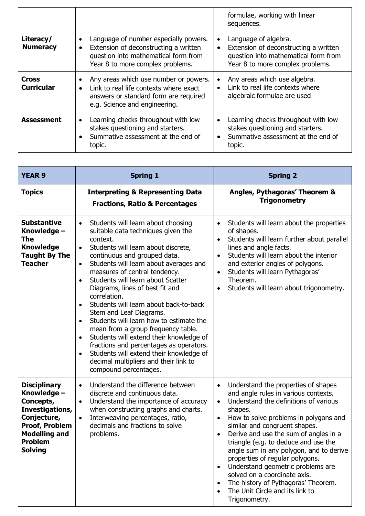|                                   |                                                                                                                                                                                     | formulae, working with linear<br>sequences.                                                                                                                         |
|-----------------------------------|-------------------------------------------------------------------------------------------------------------------------------------------------------------------------------------|---------------------------------------------------------------------------------------------------------------------------------------------------------------------|
| Literacy/<br><b>Numeracy</b>      | Language of number especially powers.<br>٠<br>Extension of deconstructing a written<br>$\bullet$<br>question into mathematical form from<br>Year 8 to more complex problems.        | Language of algebra.<br>$\bullet$<br>Extension of deconstructing a written<br>$\bullet$<br>question into mathematical form from<br>Year 8 to more complex problems. |
| <b>Cross</b><br><b>Curricular</b> | Any areas which use number or powers.<br>$\bullet$<br>Link to real life contexts where exact<br>$\bullet$<br>answers or standard form are required<br>e.g. Science and engineering. | Any areas which use algebra.<br>Link to real life contexts where<br>algebraic formulae are used                                                                     |
| <b>Assessment</b>                 | Learning checks throughout with low<br>$\bullet$<br>stakes questioning and starters.<br>Summative assessment at the end of<br>topic.                                                | Learning checks throughout with low<br>$\bullet$<br>stakes questioning and starters.<br>Summative assessment at the end of<br>topic.                                |

| <b>YEAR 9</b>                                                                                                                                                          | <b>Spring 1</b>                                                                                                                                                                                                                                                                                                                                                                                                                                                                                                                                                                                                                                                                                                                                          | <b>Spring 2</b>                                                                                                                                                                                                                                                                                                                                                                                                                                                                                                                                                                 |
|------------------------------------------------------------------------------------------------------------------------------------------------------------------------|----------------------------------------------------------------------------------------------------------------------------------------------------------------------------------------------------------------------------------------------------------------------------------------------------------------------------------------------------------------------------------------------------------------------------------------------------------------------------------------------------------------------------------------------------------------------------------------------------------------------------------------------------------------------------------------------------------------------------------------------------------|---------------------------------------------------------------------------------------------------------------------------------------------------------------------------------------------------------------------------------------------------------------------------------------------------------------------------------------------------------------------------------------------------------------------------------------------------------------------------------------------------------------------------------------------------------------------------------|
| <b>Topics</b>                                                                                                                                                          | <b>Interpreting &amp; Representing Data</b><br><b>Fractions, Ratio &amp; Percentages</b>                                                                                                                                                                                                                                                                                                                                                                                                                                                                                                                                                                                                                                                                 | Angles, Pythagoras' Theorem &<br><b>Trigonometry</b>                                                                                                                                                                                                                                                                                                                                                                                                                                                                                                                            |
| <b>Substantive</b><br>Knowledge -<br>The<br><b>Knowledge</b><br><b>Taught By The</b><br><b>Teacher</b>                                                                 | Students will learn about choosing<br>$\bullet$<br>suitable data techniques given the<br>context.<br>Students will learn about discrete,<br>$\bullet$<br>continuous and grouped data.<br>Students will learn about averages and<br>$\bullet$<br>measures of central tendency.<br>Students will learn about Scatter<br>Diagrams, lines of best fit and<br>correlation.<br>Students will learn about back-to-back<br>$\bullet$<br>Stem and Leaf Diagrams.<br>Students will learn how to estimate the<br>mean from a group frequency table.<br>Students will extend their knowledge of<br>$\bullet$<br>fractions and percentages as operators.<br>Students will extend their knowledge of<br>decimal multipliers and their link to<br>compound percentages. | Students will learn about the properties<br>$\bullet$<br>of shapes.<br>Students will learn further about parallel<br>lines and angle facts.<br>Students will learn about the interior<br>$\bullet$<br>and exterior angles of polygons.<br>Students will learn Pythagoras'<br>$\bullet$<br>Theorem.<br>Students will learn about trigonometry.<br>$\bullet$                                                                                                                                                                                                                      |
| <b>Disciplinary</b><br>Knowledge -<br>Concepts,<br>Investigations,<br>Conjecture,<br><b>Proof, Problem</b><br><b>Modelling and</b><br><b>Problem</b><br><b>Solving</b> | Understand the difference between<br>$\bullet$<br>discrete and continuous data.<br>Understand the importance of accuracy<br>$\bullet$<br>when constructing graphs and charts.<br>Interweaving percentages, ratio,<br>$\bullet$<br>decimals and fractions to solve<br>problems.                                                                                                                                                                                                                                                                                                                                                                                                                                                                           | Understand the properties of shapes<br>$\bullet$<br>and angle rules in various contexts.<br>Understand the definitions of various<br>$\bullet$<br>shapes.<br>How to solve problems in polygons and<br>$\bullet$<br>similar and congruent shapes.<br>Derive and use the sum of angles in a<br>triangle (e.g. to deduce and use the<br>angle sum in any polygon, and to derive<br>properties of regular polygons.<br>Understand geometric problems are<br>solved on a coordinate axis.<br>The history of Pythagoras' Theorem.<br>The Unit Circle and its link to<br>Trigonometry. |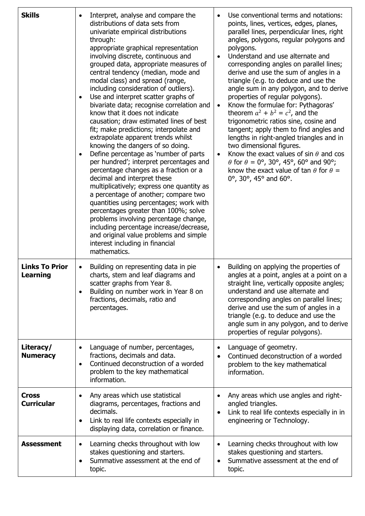| <b>Skills</b>                            | Interpret, analyse and compare the<br>distributions of data sets from<br>univariate empirical distributions<br>through:<br>appropriate graphical representation<br>involving discrete, continuous and<br>grouped data, appropriate measures of<br>central tendency (median, mode and<br>modal class) and spread (range,<br>including consideration of outliers).<br>Use and interpret scatter graphs of<br>$\bullet$<br>bivariate data; recognise correlation and<br>know that it does not indicate<br>causation; draw estimated lines of best<br>fit; make predictions; interpolate and<br>extrapolate apparent trends whilst<br>knowing the dangers of so doing.<br>Define percentage as 'number of parts<br>$\bullet$<br>per hundred'; interpret percentages and<br>percentage changes as a fraction or a<br>decimal and interpret these<br>multiplicatively; express one quantity as<br>a percentage of another; compare two<br>quantities using percentages; work with<br>percentages greater than 100%; solve<br>problems involving percentage change,<br>including percentage increase/decrease,<br>and original value problems and simple<br>interest including in financial<br>mathematics. | Use conventional terms and notations:<br>points, lines, vertices, edges, planes,<br>parallel lines, perpendicular lines, right<br>angles, polygons, regular polygons and<br>polygons.<br>Understand and use alternate and<br>corresponding angles on parallel lines;<br>derive and use the sum of angles in a<br>triangle (e.g. to deduce and use the<br>angle sum in any polygon, and to derive<br>properties of regular polygons).<br>Know the formulae for: Pythagoras'<br>theorem $a^2 + b^2 = c^2$ , and the<br>trigonometric ratios sine, cosine and<br>tangent; apply them to find angles and<br>lengths in right-angled triangles and in<br>two dimensional figures.<br>Know the exact values of sin $\theta$ and cos<br>$\theta$ for $\theta = 0^{\circ}$ , 30°, 45°, 60° and 90°;<br>know the exact value of tan $\theta$ for $\theta =$<br>$0^{\circ}$ , 30°, 45° and 60°. |
|------------------------------------------|------------------------------------------------------------------------------------------------------------------------------------------------------------------------------------------------------------------------------------------------------------------------------------------------------------------------------------------------------------------------------------------------------------------------------------------------------------------------------------------------------------------------------------------------------------------------------------------------------------------------------------------------------------------------------------------------------------------------------------------------------------------------------------------------------------------------------------------------------------------------------------------------------------------------------------------------------------------------------------------------------------------------------------------------------------------------------------------------------------------------------------------------------------------------------------------------------|---------------------------------------------------------------------------------------------------------------------------------------------------------------------------------------------------------------------------------------------------------------------------------------------------------------------------------------------------------------------------------------------------------------------------------------------------------------------------------------------------------------------------------------------------------------------------------------------------------------------------------------------------------------------------------------------------------------------------------------------------------------------------------------------------------------------------------------------------------------------------------------|
| <b>Links To Prior</b><br><b>Learning</b> | Building on representing data in pie<br>$\bullet$<br>charts, stem and leaf diagrams and<br>scatter graphs from Year 8.<br>Building on number work in Year 8 on<br>fractions, decimals, ratio and<br>percentages.                                                                                                                                                                                                                                                                                                                                                                                                                                                                                                                                                                                                                                                                                                                                                                                                                                                                                                                                                                                     | Building on applying the properties of<br>$\bullet$<br>angles at a point, angles at a point on a<br>straight line, vertically opposite angles;<br>understand and use alternate and<br>corresponding angles on parallel lines;<br>derive and use the sum of angles in a<br>triangle (e.g. to deduce and use the<br>angle sum in any polygon, and to derive<br>properties of regular polygons).                                                                                                                                                                                                                                                                                                                                                                                                                                                                                         |
| Literacy/<br><b>Numeracy</b>             | Language of number, percentages,<br>$\bullet$<br>fractions, decimals and data.<br>Continued deconstruction of a worded<br>$\bullet$<br>problem to the key mathematical<br>information.                                                                                                                                                                                                                                                                                                                                                                                                                                                                                                                                                                                                                                                                                                                                                                                                                                                                                                                                                                                                               | Language of geometry.<br>Continued deconstruction of a worded<br>problem to the key mathematical<br>information.                                                                                                                                                                                                                                                                                                                                                                                                                                                                                                                                                                                                                                                                                                                                                                      |
| <b>Cross</b><br><b>Curricular</b>        | Any areas which use statistical<br>$\bullet$<br>diagrams, percentages, fractions and<br>decimals.<br>Link to real life contexts especially in<br>$\bullet$<br>displaying data, correlation or finance.                                                                                                                                                                                                                                                                                                                                                                                                                                                                                                                                                                                                                                                                                                                                                                                                                                                                                                                                                                                               | Any areas which use angles and right-<br>$\bullet$<br>angled triangles.<br>Link to real life contexts especially in in<br>engineering or Technology.                                                                                                                                                                                                                                                                                                                                                                                                                                                                                                                                                                                                                                                                                                                                  |
| <b>Assessment</b>                        | Learning checks throughout with low<br>$\bullet$<br>stakes questioning and starters.<br>Summative assessment at the end of<br>$\bullet$<br>topic.                                                                                                                                                                                                                                                                                                                                                                                                                                                                                                                                                                                                                                                                                                                                                                                                                                                                                                                                                                                                                                                    | Learning checks throughout with low<br>stakes questioning and starters.<br>Summative assessment at the end of<br>topic.                                                                                                                                                                                                                                                                                                                                                                                                                                                                                                                                                                                                                                                                                                                                                               |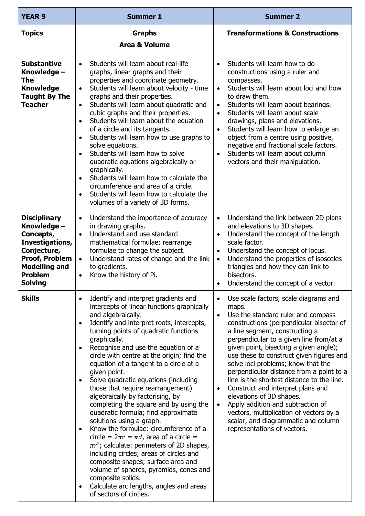| <b>YEAR 9</b>                                                                                                                                                          | <b>Summer 1</b>                                                                                                                                                                                                                                                                                                                                                                                                                                                                                                                                                                                                                                                                                                                                                                                                                                                                                                                                                                                                    | <b>Summer 2</b>                                                                                                                                                                                                                                                                                                                                                                                                                                                                                                                                                                                                                                                                                                |
|------------------------------------------------------------------------------------------------------------------------------------------------------------------------|--------------------------------------------------------------------------------------------------------------------------------------------------------------------------------------------------------------------------------------------------------------------------------------------------------------------------------------------------------------------------------------------------------------------------------------------------------------------------------------------------------------------------------------------------------------------------------------------------------------------------------------------------------------------------------------------------------------------------------------------------------------------------------------------------------------------------------------------------------------------------------------------------------------------------------------------------------------------------------------------------------------------|----------------------------------------------------------------------------------------------------------------------------------------------------------------------------------------------------------------------------------------------------------------------------------------------------------------------------------------------------------------------------------------------------------------------------------------------------------------------------------------------------------------------------------------------------------------------------------------------------------------------------------------------------------------------------------------------------------------|
| <b>Topics</b>                                                                                                                                                          | <b>Graphs</b><br><b>Area &amp; Volume</b>                                                                                                                                                                                                                                                                                                                                                                                                                                                                                                                                                                                                                                                                                                                                                                                                                                                                                                                                                                          | <b>Transformations &amp; Constructions</b>                                                                                                                                                                                                                                                                                                                                                                                                                                                                                                                                                                                                                                                                     |
| <b>Substantive</b><br>Knowledge -<br><b>The</b><br><b>Knowledge</b><br>Taught By The<br><b>Teacher</b>                                                                 | Students will learn about real-life<br>$\bullet$<br>graphs, linear graphs and their<br>properties and coordinate geometry.<br>Students will learn about velocity - time<br>$\bullet$<br>graphs and their properties.<br>Students will learn about quadratic and<br>$\bullet$<br>cubic graphs and their properties.<br>Students will learn about the equation<br>$\bullet$<br>of a circle and its tangents.<br>Students will learn how to use graphs to<br>$\bullet$<br>solve equations.<br>Students will learn how to solve<br>$\bullet$<br>quadratic equations algebraically or<br>graphically.<br>Students will learn how to calculate the<br>$\bullet$<br>circumference and area of a circle.<br>Students will learn how to calculate the<br>volumes of a variety of 3D forms.                                                                                                                                                                                                                                  | Students will learn how to do<br>$\bullet$<br>constructions using a ruler and<br>compasses.<br>Students will learn about loci and how<br>$\bullet$<br>to draw them.<br>Students will learn about bearings.<br>$\bullet$<br>Students will learn about scale<br>$\bullet$<br>drawings, plans and elevations.<br>Students will learn how to enlarge an<br>$\bullet$<br>object from a centre using positive,<br>negative and fractional scale factors.<br>Students will learn about column<br>$\bullet$<br>vectors and their manipulation.                                                                                                                                                                         |
| <b>Disciplinary</b><br>Knowledge -<br>Concepts,<br>Investigations,<br>Conjecture,<br><b>Proof, Problem</b><br><b>Modelling and</b><br><b>Problem</b><br><b>Solving</b> | Understand the importance of accuracy<br>$\bullet$<br>in drawing graphs.<br>Understand and use standard<br>$\bullet$<br>mathematical formulae; rearrange<br>formulae to change the subject.<br>Understand rates of change and the link<br>$\bullet$<br>to gradients.<br>Know the history of Pi.<br>$\bullet$                                                                                                                                                                                                                                                                                                                                                                                                                                                                                                                                                                                                                                                                                                       | Understand the link between 2D plans<br>$\bullet$<br>and elevations to 3D shapes.<br>Understand the concept of the length<br>$\bullet$<br>scale factor.<br>Understand the concept of locus.<br>$\bullet$<br>Understand the properties of isosceles<br>$\bullet$<br>triangles and how they can link to<br>bisectors.<br>Understand the concept of a vector.<br>$\bullet$                                                                                                                                                                                                                                                                                                                                        |
| <b>Skills</b>                                                                                                                                                          | Identify and interpret gradients and<br>$\bullet$<br>intercepts of linear functions graphically<br>and algebraically.<br>Identify and interpret roots, intercepts,<br>turning points of quadratic functions<br>graphically.<br>Recognise and use the equation of a<br>$\bullet$<br>circle with centre at the origin; find the<br>equation of a tangent to a circle at a<br>given point.<br>Solve quadratic equations (including<br>$\bullet$<br>those that require rearrangement)<br>algebraically by factorising, by<br>completing the square and by using the<br>quadratic formula; find approximate<br>solutions using a graph.<br>Know the formulae: circumference of a<br>circle = $2\pi r = \pi d$ , area of a circle =<br>$\pi r^2$ ; calculate: perimeters of 2D shapes,<br>including circles; areas of circles and<br>composite shapes; surface area and<br>volume of spheres, pyramids, cones and<br>composite solids.<br>Calculate arc lengths, angles and areas<br>$\bullet$<br>of sectors of circles. | Use scale factors, scale diagrams and<br>$\bullet$<br>maps.<br>Use the standard ruler and compass<br>$\bullet$<br>constructions (perpendicular bisector of<br>a line segment, constructing a<br>perpendicular to a given line from/at a<br>given point, bisecting a given angle);<br>use these to construct given figures and<br>solve loci problems; know that the<br>perpendicular distance from a point to a<br>line is the shortest distance to the line.<br>Construct and interpret plans and<br>$\bullet$<br>elevations of 3D shapes.<br>Apply addition and subtraction of<br>$\bullet$<br>vectors, multiplication of vectors by a<br>scalar, and diagrammatic and column<br>representations of vectors. |